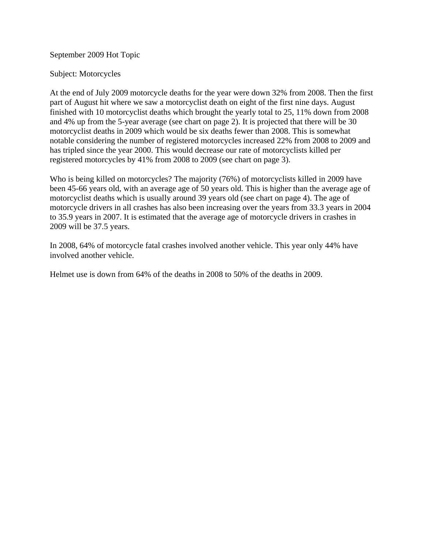September 2009 Hot Topic

## Subject: Motorcycles

At the end of July 2009 motorcycle deaths for the year were down 32% from 2008. Then the first part of August hit where we saw a motorcyclist death on eight of the first nine days. August finished with 10 motorcyclist deaths which brought the yearly total to 25, 11% down from 2008 and 4% up from the 5-year average (see chart on page 2). It is projected that there will be 30 motorcyclist deaths in 2009 which would be six deaths fewer than 2008. This is somewhat notable considering the number of registered motorcycles increased 22% from 2008 to 2009 and has tripled since the year 2000. This would decrease our rate of motorcyclists killed per registered motorcycles by 41% from 2008 to 2009 (see chart on page 3).

Who is being killed on motorcycles? The majority (76%) of motorcyclists killed in 2009 have been 45-66 years old, with an average age of 50 years old. This is higher than the average age of motorcyclist deaths which is usually around 39 years old (see chart on page 4). The age of motorcycle drivers in all crashes has also been increasing over the years from 33.3 years in 2004 to 35.9 years in 2007. It is estimated that the average age of motorcycle drivers in crashes in 2009 will be 37.5 years.

In 2008, 64% of motorcycle fatal crashes involved another vehicle. This year only 44% have involved another vehicle.

Helmet use is down from 64% of the deaths in 2008 to 50% of the deaths in 2009.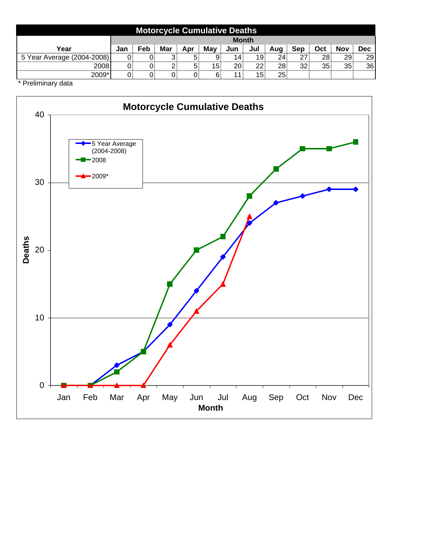| <b>Motorcycle Cumulative Deaths</b> |              |     |     |     |     |                 |                 |                 |     |     |     |            |
|-------------------------------------|--------------|-----|-----|-----|-----|-----------------|-----------------|-----------------|-----|-----|-----|------------|
|                                     | <b>Month</b> |     |     |     |     |                 |                 |                 |     |     |     |            |
| Year                                | Jan          | Feb | Mar | Apr | May | Jun             | Jul             | Aug             | Sep | Oct | Nov | <b>Dec</b> |
| 5 Year Average (2004-2008)          |              | 0   | 3   | 5   | 9   | 14              | 19 <sup>1</sup> | 24 <sub>1</sub> | 27  | 28  | 29  | 29         |
| 2008                                |              | 0   | 2   | 5   | 15  | 20 <sup>2</sup> | 22              | 28              | 32  | 35  | 35  | 36         |
| 2009*                               |              | 0   | 0   |     | 6   | 11              | 15              | 25              |     |     |     |            |

\* Preliminary data

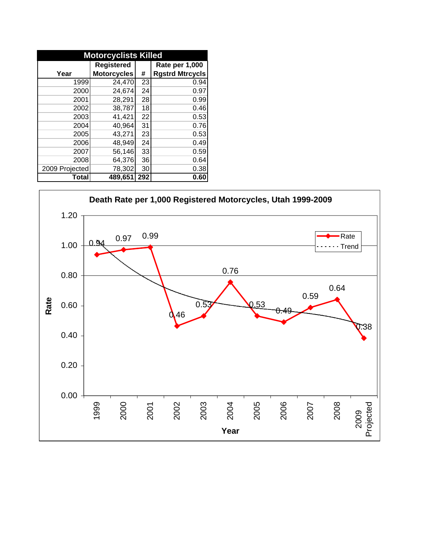| <b>Motorcyclists Killed</b> |                    |     |                        |  |  |  |
|-----------------------------|--------------------|-----|------------------------|--|--|--|
|                             | <b>Registered</b>  |     | Rate per 1,000         |  |  |  |
| Year                        | <b>Motorcycles</b> | #   | <b>Rgstrd Mtrcycls</b> |  |  |  |
| 1999                        | 24,470             | 23  | 0.94                   |  |  |  |
| 2000                        | 24,674             | 24  | 0.97                   |  |  |  |
| 2001                        | 28,291             | 28  | 0.99                   |  |  |  |
| 2002                        | 38,787             | 18  | 0.46                   |  |  |  |
| 2003                        | 41,421             | 22  | 0.53                   |  |  |  |
| 2004                        | 40,964             | 31  | 0.76                   |  |  |  |
| 2005                        | 43,271             | 23  | 0.53                   |  |  |  |
| 2006                        | 48,949             | 24  | 0.49                   |  |  |  |
| 2007                        | 56,146             | 33  | 0.59                   |  |  |  |
| 2008                        | 64,376             | 36  | 0.64                   |  |  |  |
| 2009 Projected              | 78,302             | 30  | 0.38                   |  |  |  |
| Total                       | 489,651            | 292 | 0.60                   |  |  |  |